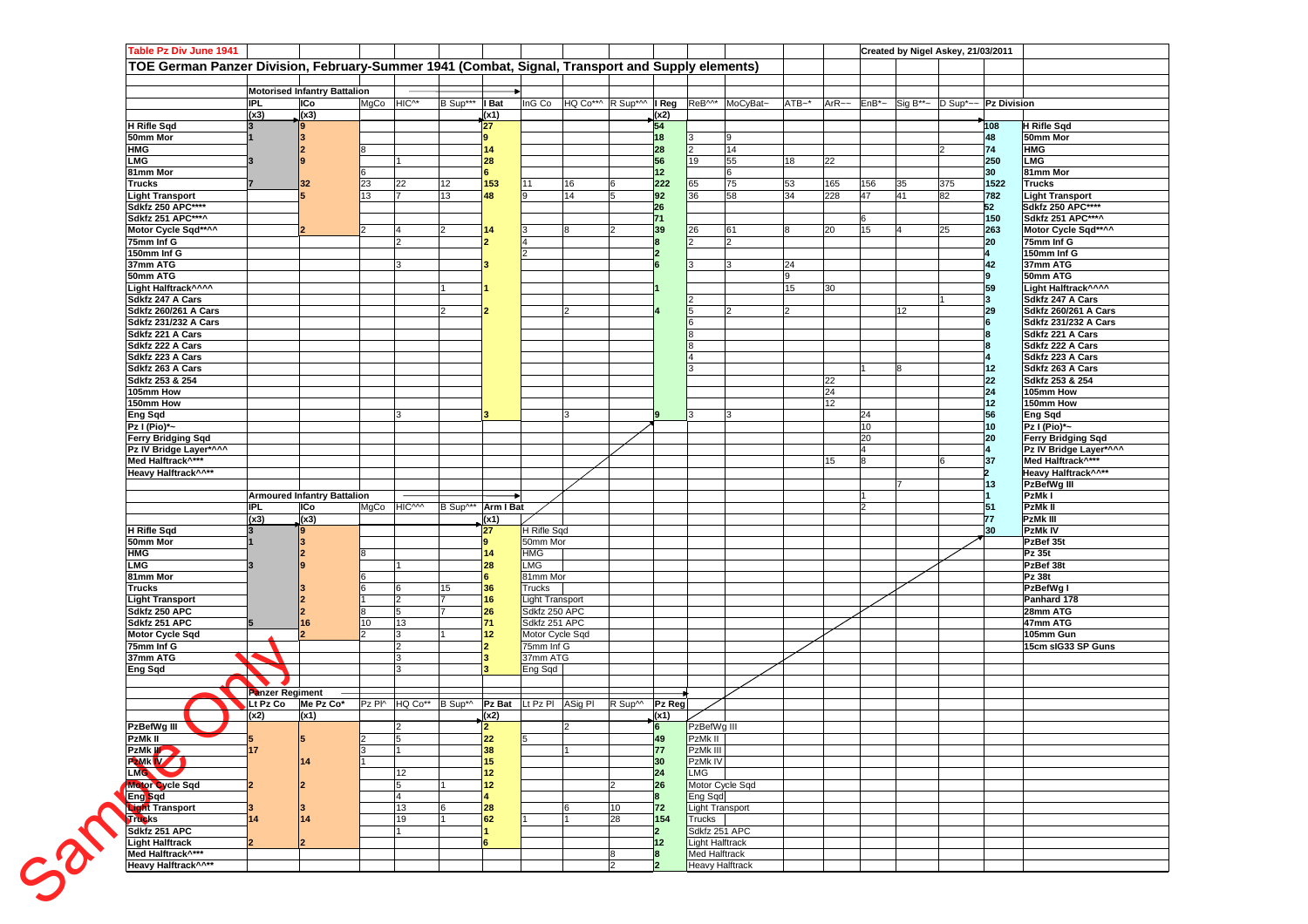|                                          |                        | <b>Motorised Infantry Battalion</b> |                                                                        |                    |                 |                                  |    |                                |                       |                                         |                            |                |          |                |    |                                                                                       |                 |                                 |
|------------------------------------------|------------------------|-------------------------------------|------------------------------------------------------------------------|--------------------|-----------------|----------------------------------|----|--------------------------------|-----------------------|-----------------------------------------|----------------------------|----------------|----------|----------------|----|---------------------------------------------------------------------------------------|-----------------|---------------------------------|
| IPL.                                     |                        | ICo                                 | MgCo HIC^*                                                             | B Sup***   Bat     |                 |                                  |    | InG Co HQ Co**^ R Sup*^^ I Reg |                       |                                         | ReB <sup>M*</sup> MoCyBat~ | $ATB - *$      |          |                |    | $ArR \sim$ EnB <sup>*</sup> ~ Sig B <sup>**</sup> ~ D Sup <sup>*</sup> ~~ Pz Division |                 |                                 |
|                                          | (x3)                   | (x3)                                |                                                                        |                    | (x1)            |                                  |    |                                | $\frac{(x2)}{54}$     |                                         |                            |                |          |                |    |                                                                                       |                 |                                 |
| <b>H</b> Rifle Sqd                       |                        |                                     |                                                                        |                    | 27              |                                  |    |                                |                       |                                         |                            |                |          |                |    |                                                                                       | 108             | H Rifle Sqd                     |
| 50mm Mor                                 |                        |                                     |                                                                        |                    |                 |                                  |    |                                | 18                    |                                         | 9                          |                |          |                |    |                                                                                       | 48              | 50mm Mor                        |
| <b>HMG</b>                               |                        |                                     |                                                                        |                    | 14              |                                  |    |                                | 28                    |                                         | 14                         |                |          |                |    |                                                                                       | 74              | <b>HMG</b>                      |
| <b>LMG</b><br>81mm Mor                   |                        |                                     |                                                                        |                    | 28              |                                  |    |                                | 56<br>12 <sub>2</sub> | 19                                      | 55<br>6                    | 18             | 22       |                |    |                                                                                       | 250<br>30       | <b>LMG</b><br>81mm Mor          |
| <b>Trucks</b>                            |                        | 32                                  | 22<br>23                                                               | 12                 | 153             | 11                               | 16 |                                | 222                   | 65                                      | 75                         | 53             | 165      | 156            | 35 | 375                                                                                   | 1522            | <b>Trucks</b>                   |
| <b>Light Transport</b>                   |                        |                                     | 13<br>$\overline{7}$                                                   | 13                 | 48              |                                  | 14 |                                | 92                    | 36                                      | 58                         | 34             | 228      | 47             | 41 | 82                                                                                    | 782             | <b>Light Transport</b>          |
| <b>Sdkfz 250 APC****</b>                 |                        |                                     |                                                                        |                    |                 |                                  |    |                                | 26                    |                                         |                            |                |          |                |    |                                                                                       | 52              | Sdkfz 250 APC****               |
| <b>Sdkfz 251 APC***^</b>                 |                        |                                     |                                                                        |                    |                 |                                  |    |                                | 71                    |                                         |                            |                |          | 6              |    |                                                                                       | 150             | Sdkfz 251 APC***^               |
| Motor Cycle Sqd**^^                      |                        |                                     | 4                                                                      | $\vert$ 2          | 14              |                                  | 8  | 12                             | 39                    | 26                                      | 61                         | 8              | 20       | 15             | 4  | 25                                                                                    | 263             | Motor Cycle Sqd**^^             |
| 75mm Inf G                               |                        |                                     | $\overline{2}$                                                         |                    |                 |                                  |    |                                |                       |                                         | $\overline{2}$             |                |          |                |    |                                                                                       | 20              | 75mm Inf G                      |
| 150mm Inf G                              |                        |                                     |                                                                        |                    |                 |                                  |    |                                |                       |                                         |                            |                |          |                |    |                                                                                       |                 | 150mm Inf G                     |
| 37mm ATG<br>50mm ATG                     |                        |                                     | Iз                                                                     |                    |                 |                                  |    |                                |                       |                                         | $\mathbf{B}$               | 24<br>9        |          |                |    |                                                                                       | 42              | 37mm ATG<br>50mm ATG            |
| Light Halftrack^^^^                      |                        |                                     |                                                                        |                    |                 |                                  |    |                                |                       |                                         |                            | 15             | 30       |                |    |                                                                                       | 59              | Light Halftrack^^^^             |
| Sdkfz 247 A Cars                         |                        |                                     |                                                                        |                    |                 |                                  |    |                                |                       |                                         |                            |                |          |                |    |                                                                                       |                 | Sdkfz 247 A Cars                |
| Sdkfz 260/261 A Cars                     |                        |                                     |                                                                        | $\overline{2}$     |                 |                                  |    |                                |                       |                                         | $\mathcal{P}$              | $\overline{2}$ |          |                | 12 |                                                                                       | 29              | Sdkfz 260/261 A Cars            |
| <b>Sdkfz 231/232 A Cars</b>              |                        |                                     |                                                                        |                    |                 |                                  |    |                                |                       |                                         |                            |                |          |                |    |                                                                                       |                 | Sdkfz 231/232 A Cars            |
| Sdkfz 221 A Cars                         |                        |                                     |                                                                        |                    |                 |                                  |    |                                |                       |                                         |                            |                |          |                |    |                                                                                       |                 | Sdkfz 221 A Cars                |
| Sdkfz 222 A Cars                         |                        |                                     |                                                                        |                    |                 |                                  |    |                                |                       |                                         |                            |                |          |                |    |                                                                                       |                 | Sdkfz 222 A Cars                |
| Sdkfz 223 A Cars                         |                        |                                     |                                                                        |                    |                 |                                  |    |                                |                       |                                         |                            |                |          |                |    |                                                                                       |                 | Sdkfz 223 A Cars                |
| Sdkfz 263 A Cars                         |                        |                                     |                                                                        |                    |                 |                                  |    |                                |                       |                                         |                            |                |          |                |    |                                                                                       | 12              | Sdkfz 263 A Cars                |
| Sdkfz 253 & 254<br>105mm How             |                        |                                     |                                                                        |                    |                 |                                  |    |                                |                       |                                         |                            |                | 22<br>24 |                |    |                                                                                       | 22<br>24        | Sdkfz 253 & 254<br>105mm How    |
| 150mm How                                |                        |                                     |                                                                        |                    |                 |                                  |    |                                |                       |                                         |                            |                | 12       |                |    |                                                                                       | 12 <sub>2</sub> | 150mm How                       |
| <b>Eng Sqd</b>                           |                        |                                     | 3                                                                      |                    |                 |                                  |    |                                |                       |                                         |                            |                |          | 24             |    |                                                                                       | 56              | Eng Sqd                         |
| Pz I (Pio)*~                             |                        |                                     |                                                                        |                    |                 |                                  |    |                                |                       |                                         |                            |                |          | 10             |    |                                                                                       | 10              | Pz I (Pio)*~                    |
| <b>Ferry Bridging Sqd</b>                |                        |                                     |                                                                        |                    |                 |                                  |    |                                |                       |                                         |                            |                |          | 20             |    |                                                                                       | 20              | <b>Ferry Bridging Sqd</b>       |
| Pz IV Bridge Layer*^^^                   |                        |                                     |                                                                        |                    |                 |                                  |    |                                |                       |                                         |                            |                |          | $\overline{4}$ |    |                                                                                       |                 | Pz IV Bridge Layer*^^^          |
| Med Halftrack <sup>A***</sup>            |                        |                                     |                                                                        |                    |                 |                                  |    |                                |                       |                                         |                            |                | 15       |                |    |                                                                                       | 37              | Med Halftrack <sup>^***</sup>   |
| Heavy Halftrack^^**                      |                        |                                     |                                                                        |                    |                 |                                  |    |                                |                       |                                         |                            |                |          |                |    |                                                                                       |                 | Heavy Halftrack^^**             |
|                                          |                        | <b>Armoured Infantry Battalion</b>  |                                                                        |                    |                 |                                  |    |                                |                       |                                         |                            |                |          |                |    |                                                                                       | 13              | PzBefWg III<br>PzMk I           |
| IPL.                                     |                        | ICo                                 | MgCo HICAM                                                             | B Sup^** Arm I Bat |                 |                                  |    |                                |                       |                                         |                            |                |          | 2              |    |                                                                                       | 51              | PzMk II                         |
|                                          | (x3)                   | (x3)                                |                                                                        |                    | (x1)            |                                  |    |                                |                       |                                         |                            |                |          |                |    |                                                                                       | 77              | <b>PzMkIII</b>                  |
| <b>H</b> Rifle Sqd                       |                        |                                     |                                                                        |                    | 27              | H Rifle Sqd                      |    |                                |                       |                                         |                            |                |          |                |    |                                                                                       | 30              | <b>PzMkIV</b>                   |
| 50mm Mor                                 |                        |                                     |                                                                        |                    |                 | 50mm Mor                         |    |                                |                       |                                         |                            |                |          |                |    |                                                                                       |                 | PzBef 35t                       |
| <b>HMG</b>                               |                        |                                     |                                                                        |                    | 14              | <b>HMG</b>                       |    |                                |                       |                                         |                            |                |          |                |    |                                                                                       |                 | Pz 35t                          |
| <b>LMG</b>                               |                        |                                     |                                                                        |                    | 28              | LMG                              |    |                                |                       |                                         |                            |                |          |                |    |                                                                                       |                 | PzBef 38t                       |
| 81mm Mor                                 |                        |                                     | 6                                                                      | 15                 | 36              | 81mm Mor<br>Trucks               |    |                                |                       |                                         |                            |                |          |                |    |                                                                                       |                 | Pz 38t<br>PzBefWg I             |
|                                          |                        |                                     | $\mathfrak{p}$                                                         | 17                 | 16              | Light Transport                  |    |                                |                       |                                         |                            |                |          |                |    |                                                                                       |                 | Panhard 178                     |
| <b>Trucks</b>                            |                        |                                     |                                                                        | 17                 | 26              | Sdkfz 250 APC                    |    |                                |                       |                                         |                            |                |          |                |    |                                                                                       |                 | 28mm ATG                        |
| <b>Light Transport</b>                   |                        |                                     |                                                                        |                    |                 |                                  |    |                                |                       |                                         |                            |                |          |                |    |                                                                                       |                 | 47mm ATG                        |
| Sdkfz 250 APC                            |                        |                                     | 5<br>10                                                                |                    | 71              |                                  |    |                                |                       |                                         |                            |                |          |                |    |                                                                                       |                 |                                 |
| Sdkfz 251 APC<br><b>Motor Cycle Sqd</b>  |                        | 16                                  | 13<br>3                                                                |                    | 12 <sub>2</sub> | Sdkfz 251 APC<br>Motor Cycle Sqd |    |                                |                       |                                         |                            |                |          |                |    |                                                                                       |                 |                                 |
| 75mm Inf G                               |                        |                                     | $\overline{2}$                                                         |                    |                 | 75mm Inf G                       |    |                                |                       |                                         |                            |                |          |                |    |                                                                                       |                 |                                 |
| 37mm ATG                                 |                        |                                     | 3                                                                      |                    |                 | 37mm ATG                         |    |                                |                       |                                         |                            |                |          |                |    |                                                                                       |                 |                                 |
| <b>Eng Sqd</b>                           |                        |                                     | 3                                                                      |                    |                 | Eng Sqd                          |    |                                |                       |                                         |                            |                |          |                |    |                                                                                       |                 |                                 |
|                                          |                        |                                     |                                                                        |                    |                 |                                  |    |                                |                       |                                         |                            |                |          |                |    |                                                                                       |                 |                                 |
|                                          | <b>Panzer Regiment</b> |                                     |                                                                        |                    |                 |                                  |    |                                |                       |                                         |                            |                |          |                |    |                                                                                       |                 |                                 |
|                                          | Lt Pz Co<br>(x2)       | Me Pz Co*                           | Pz PI^ HQ Co <sup>**</sup> B Sup <sup>*^</sup> Pz Bat Lt Pz PI ASig PI |                    |                 |                                  |    | R Sup <sup>M</sup>             | Pz Reg                |                                         |                            |                |          |                |    |                                                                                       |                 |                                 |
| PzBefWg III                              |                        | (x1)                                | $\overline{2}$                                                         |                    | (x2)            |                                  |    |                                | (x1)<br>6             | PzBefWg III                             |                            |                |          |                |    |                                                                                       |                 |                                 |
| PzMk II<br>片                             |                        | 5.                                  | $\vert$ <sub>2</sub><br>5                                              |                    | 22              |                                  |    |                                | 49                    | PzMk II                                 |                            |                |          |                |    |                                                                                       |                 |                                 |
| 17                                       |                        |                                     |                                                                        |                    | 38              |                                  |    |                                | 77                    | PzMk III                                |                            |                |          |                |    |                                                                                       |                 |                                 |
| PzMk W                                   |                        | 14                                  |                                                                        |                    | 15              |                                  |    |                                | 30                    | PzMk IV                                 |                            |                |          |                |    |                                                                                       |                 |                                 |
| <b>LMG</b>                               |                        |                                     | 12                                                                     |                    | 12 <sup>°</sup> |                                  |    |                                | 24                    | <b>LMG</b>                              |                            |                |          |                |    |                                                                                       |                 |                                 |
| Motor Cycle Sqd                          |                        | $\mathbf{2}$                        | 5                                                                      | $\vert$ 1          | 12 <sub>2</sub> |                                  |    |                                | 26                    |                                         | Motor Cycle Sqd            |                |          |                |    |                                                                                       |                 |                                 |
| Eng Sqd                                  |                        |                                     | 4                                                                      |                    |                 |                                  |    |                                |                       | Eng Sqd                                 |                            |                |          |                |    |                                                                                       |                 |                                 |
| Light Transport                          |                        | з                                   | 13                                                                     | 6                  | 28              |                                  | 16 | 10                             | 72                    | <b>Light Transport</b>                  |                            |                |          |                |    |                                                                                       |                 | 105mm Gun<br>15cm sIG33 SP Guns |
| 14<br>Trucks                             |                        | 14                                  | 19<br>1                                                                | $\vert$ 1          | 62              |                                  |    | 28                             | 154                   | Trucks                                  |                            |                |          |                |    |                                                                                       |                 |                                 |
| Sdkfz 251 APC<br>Light Halftrack         |                        |                                     |                                                                        |                    |                 |                                  |    |                                | 12 <sub>2</sub>       | Sdkfz 251 APC<br><b>Light Halftrack</b> |                            |                |          |                |    |                                                                                       |                 |                                 |
| Med Halftrack^***<br>Heavy Halftrack^^** |                        |                                     |                                                                        |                    |                 |                                  |    | l8                             |                       | <b>Med Halftrack</b><br>Heavy Halftrack |                            |                |          |                |    |                                                                                       |                 |                                 |